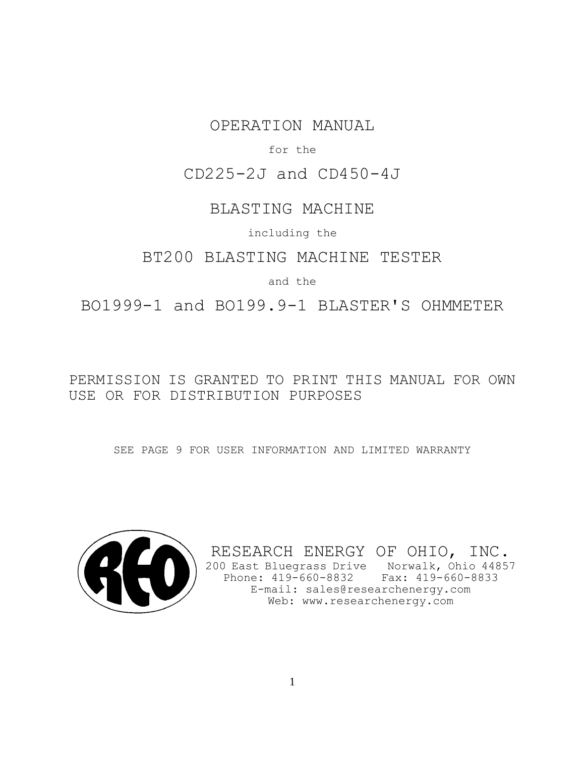# OPERATION MANUAL

### for the

## CD225-2J and CD450-4J

## BLASTING MACHINE

including the

## BT200 BLASTING MACHINE TESTER

## and the

BO1999-1 and BO199.9-1 BLASTER'S OHMMETER

# PERMISSION IS GRANTED TO PRINT THIS MANUAL FOR OWN USE OR FOR DISTRIBUTION PURPOSES

SEE PAGE 9 FOR USER INFORMATION AND LIMITED WARRANTY



RESEARCH ENERGY OF OHIO, INC. 200 East Bluegrass Drive Norwalk, Ohio 44857 Phone: 419-660-8832 Fax: 419-660-8833 E-mail: sales@researchenergy.com Web: www.researchenergy.com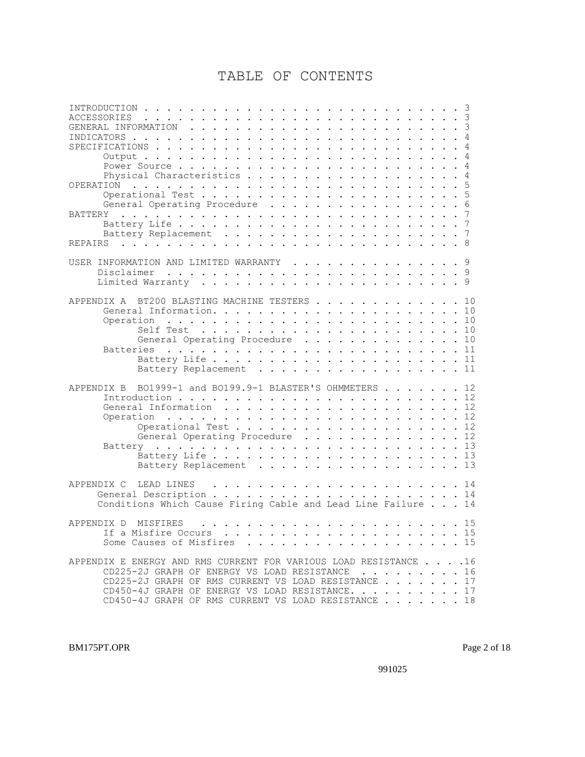# TABLE OF CONTENTS

| . 3<br>ACCESSORIES<br>$\frac{1}{2}$ . $\frac{1}{2}$ . $\frac{1}{2}$ . $\frac{1}{2}$ . $\frac{1}{2}$ . $\frac{1}{2}$ . $\frac{1}{2}$ . $\frac{1}{2}$ . $\frac{1}{2}$                                                                                                                                        |  |
|------------------------------------------------------------------------------------------------------------------------------------------------------------------------------------------------------------------------------------------------------------------------------------------------------------|--|
|                                                                                                                                                                                                                                                                                                            |  |
| INDICATORS<br>$\frac{1}{2}$                                                                                                                                                                                                                                                                                |  |
| SPECIFICATIONS.<br>$\frac{1}{2}$                                                                                                                                                                                                                                                                           |  |
|                                                                                                                                                                                                                                                                                                            |  |
| Power Source                                                                                                                                                                                                                                                                                               |  |
| Physical Characteristics<br>4                                                                                                                                                                                                                                                                              |  |
| OPERATION                                                                                                                                                                                                                                                                                                  |  |
|                                                                                                                                                                                                                                                                                                            |  |
| General Operating Procedure                                                                                                                                                                                                                                                                                |  |
| BATTERY<br>$\cdot$ $\cdot$ 7<br>and the contract of the contract of the contract of the contract of the contract of the contract of the contract of the contract of the contract of the contract of the contract of the contract of the contract of the contra<br>$\mathbf{u} = \mathbf{u} + \mathbf{u}$ . |  |
|                                                                                                                                                                                                                                                                                                            |  |
|                                                                                                                                                                                                                                                                                                            |  |
|                                                                                                                                                                                                                                                                                                            |  |
| USER INFORMATION AND LIMITED WARRANTY 9                                                                                                                                                                                                                                                                    |  |
| Disclaimer                                                                                                                                                                                                                                                                                                 |  |
|                                                                                                                                                                                                                                                                                                            |  |
|                                                                                                                                                                                                                                                                                                            |  |
| BT200 BLASTING MACHINE TESTERS 10<br>APPENDIX A                                                                                                                                                                                                                                                            |  |
|                                                                                                                                                                                                                                                                                                            |  |
|                                                                                                                                                                                                                                                                                                            |  |
| Self Test<br>. 10                                                                                                                                                                                                                                                                                          |  |
| General Operating Procedure 10                                                                                                                                                                                                                                                                             |  |
| <b>Batteries</b>                                                                                                                                                                                                                                                                                           |  |
| . 11                                                                                                                                                                                                                                                                                                       |  |
| Battery Replacement 11                                                                                                                                                                                                                                                                                     |  |
|                                                                                                                                                                                                                                                                                                            |  |
| BO1999-1 and BO199.9-1 BLASTER'S OHMMETERS 12<br>APPENDIX B                                                                                                                                                                                                                                                |  |
|                                                                                                                                                                                                                                                                                                            |  |
|                                                                                                                                                                                                                                                                                                            |  |
| Operation                                                                                                                                                                                                                                                                                                  |  |
| Operational Test 12<br>General Operating Procedure 12                                                                                                                                                                                                                                                      |  |
|                                                                                                                                                                                                                                                                                                            |  |
| $\cdots$ . 13                                                                                                                                                                                                                                                                                              |  |
| Battery Replacement 13                                                                                                                                                                                                                                                                                     |  |
|                                                                                                                                                                                                                                                                                                            |  |
| APPENDIX C<br>LEAD LINES                                                                                                                                                                                                                                                                                   |  |
|                                                                                                                                                                                                                                                                                                            |  |
| Conditions Which Cause Firing Cable and Lead Line Failure 14                                                                                                                                                                                                                                               |  |
|                                                                                                                                                                                                                                                                                                            |  |
| APPENDIX D<br>MISFIRES                                                                                                                                                                                                                                                                                     |  |
| 15<br>If a Misfire Occurs                                                                                                                                                                                                                                                                                  |  |
| Some Causes of Misfires 15                                                                                                                                                                                                                                                                                 |  |
|                                                                                                                                                                                                                                                                                                            |  |
| APPENDIX E ENERGY AND RMS CURRENT FOR VARIOUS LOAD RESISTANCE 16                                                                                                                                                                                                                                           |  |
| CD225-2J GRAPH OF ENERGY VS LOAD RESISTANCE 16                                                                                                                                                                                                                                                             |  |
|                                                                                                                                                                                                                                                                                                            |  |
| CD225-2J GRAPH OF RMS CURRENT VS LOAD RESISTANCE 17                                                                                                                                                                                                                                                        |  |
| CD450-4J GRAPH OF ENERGY VS LOAD RESISTANCE. 17<br>CD450-4J GRAPH OF RMS CURRENT VS LOAD RESISTANCE 18                                                                                                                                                                                                     |  |

BM175PT.OPR Page 2 of 18

991025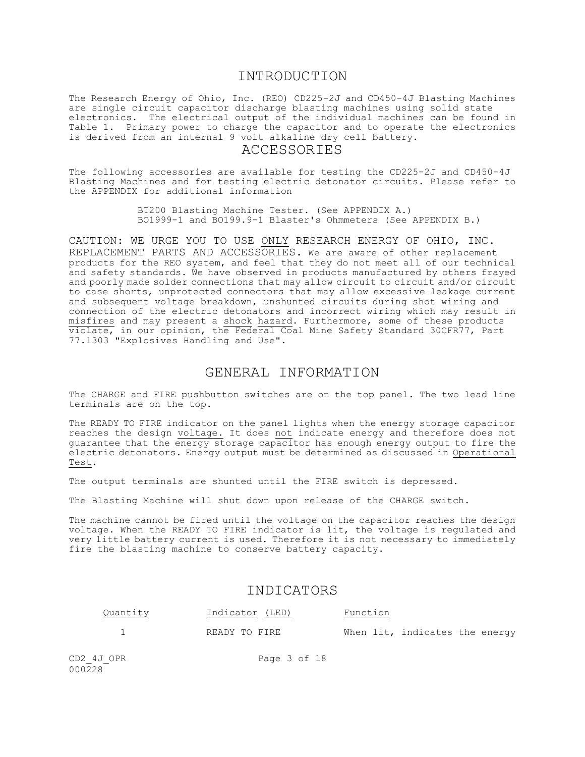### INTRODUCTION

The Research Energy of Ohio, Inc. (REO) CD225-2J and CD450-4J Blasting Machines are single circuit capacitor discharge blasting machines using solid state electronics. The electrical output of the individual machines can be found in Table 1. Primary power to charge the capacitor and to operate the electronics is derived from an internal 9 volt alkaline dry cell battery.

### ACCESSORIES

The following accessories are available for testing the CD225-2J and CD450-4J Blasting Machines and for testing electric detonator circuits. Please refer to the APPENDIX for additional information

> BT200 Blasting Machine Tester. (See APPENDIX A.) BO1999-1 and BO199.9-1 Blaster's Ohmmeters (See APPENDIX B.)

CAUTION: WE URGE YOU TO USE ONLY RESEARCH ENERGY OF OHIO, INC. REPLACEMENT PARTS AND ACCESSORIES. We are aware of other replacement products for the REO system, and feel that they do not meet all of our technical and safety standards. We have observed in products manufactured by others frayed and poorly made solder connections that may allow circuit to circuit and/or circuit to case shorts, unprotected connectors that may allow excessive leakage current and subsequent voltage breakdown, unshunted circuits during shot wiring and connection of the electric detonators and incorrect wiring which may result in misfires and may present a shock hazard. Furthermore, some of these products violate, in our opinion, the Federal Coal Mine Safety Standard 30CFR77, Part 77.1303 "Explosives Handling and Use".

## GENERAL INFORMATION

The CHARGE and FIRE pushbutton switches are on the top panel. The two lead line terminals are on the top.

The READY TO FIRE indicator on the panel lights when the energy storage capacitor reaches the design voltage. It does not indicate energy and therefore does not guarantee that the energy storage capacitor has enough energy output to fire the electric detonators. Energy output must be determined as discussed in Operational Test.

The output terminals are shunted until the FIRE switch is depressed.

The Blasting Machine will shut down upon release of the CHARGE switch.

The machine cannot be fired until the voltage on the capacitor reaches the design voltage. When the READY TO FIRE indicator is lit, the voltage is regulated and very little battery current is used. Therefore it is not necessary to immediately fire the blasting machine to conserve battery capacity.

### INDICATORS

| Quantity | Indicator (LED) | Function                       |
|----------|-----------------|--------------------------------|
|          | READY TO FIRE   | When lit, indicates the energy |

 $000228$ 

CD2 4J OPR Page 3 of 18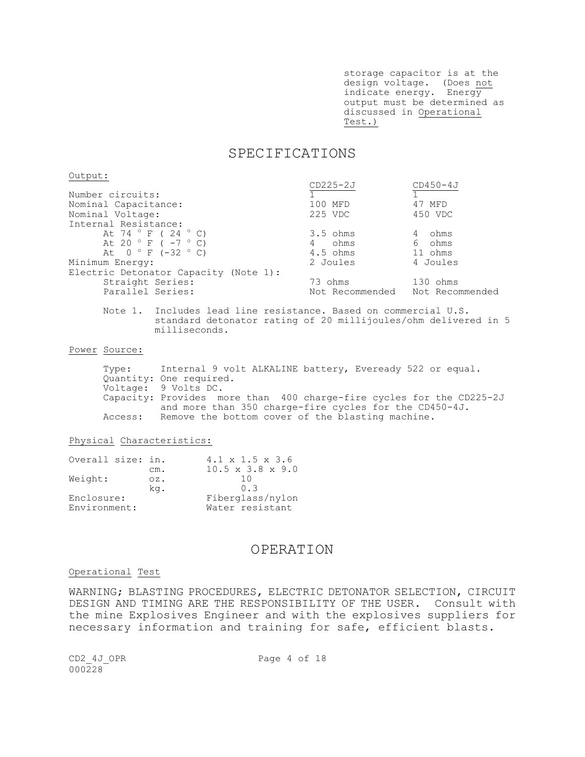storage capacitor is at the design voltage. (Does not indicate energy. Energy output must be determined as discussed in Operational Test.)

### SPECIFICATIONS

Output:

|                                       | $CD225-2J$                      | $CD450 - 4J$ |
|---------------------------------------|---------------------------------|--------------|
| Number circuits:                      |                                 |              |
| Nominal Capacitance:                  | 100 MFD                         | 47 MFD       |
| Nominal Voltage:                      | 225 VDC                         | 450 VDC      |
| Internal Resistance:                  |                                 |              |
| At 74 $\degree$ F (24 $\degree$ C)    | $3.5 \; ohms$                   | ohms<br>4    |
| At 20 ° F ( $-7$ ° C)                 | ohms                            | 6 ohms       |
| At $0 ° F (-32 ° C)$                  | $4.5$ ohms                      | 11 ohms      |
| Minimum Energy:                       | 2 Joules                        | 4 Joules     |
| Electric Detonator Capacity (Note 1): |                                 |              |
| Straight Series:                      | 73 ohms                         | 130 ohms     |
| Parallel Series:                      | Not Recommended Not Recommended |              |

Note 1. Includes lead line resistance. Based on commercial U.S. standard detonator rating of 20 millijoules/ohm delivered in 5 milliseconds.

Power Source:

Type: Internal 9 volt ALKALINE battery, Eveready 522 or equal. Quantity: One required. Voltage: 9 Volts DC. Capacity: Provides more than 400 charge-fire cycles for the CD225-2J and more than 350 charge-fire cycles for the CD450-4J. Access: Remove the bottom cover of the blasting machine.

#### Physical Characteristics:

| Overall size: in. |        | $4.1 \times 1.5 \times 3.6$  |
|-------------------|--------|------------------------------|
|                   | cm.    | $10.5 \times 3.8 \times 9.0$ |
| Weight:           | $OZ$ . | 1 N                          |
|                   | kq.    | 0.3                          |
| Enclosure:        |        | Fiberglass/nylon             |
| Environment:      |        | Water resistant              |

### OPERATION

#### Operational Test

WARNING; BLASTING PROCEDURES, ELECTRIC DETONATOR SELECTION, CIRCUIT DESIGN AND TIMING ARE THE RESPONSIBILITY OF THE USER. Consult with the mine Explosives Engineer and with the explosives suppliers for necessary information and training for safe, efficient blasts.

CD2 4J OPR Page 4 of 18  $000228$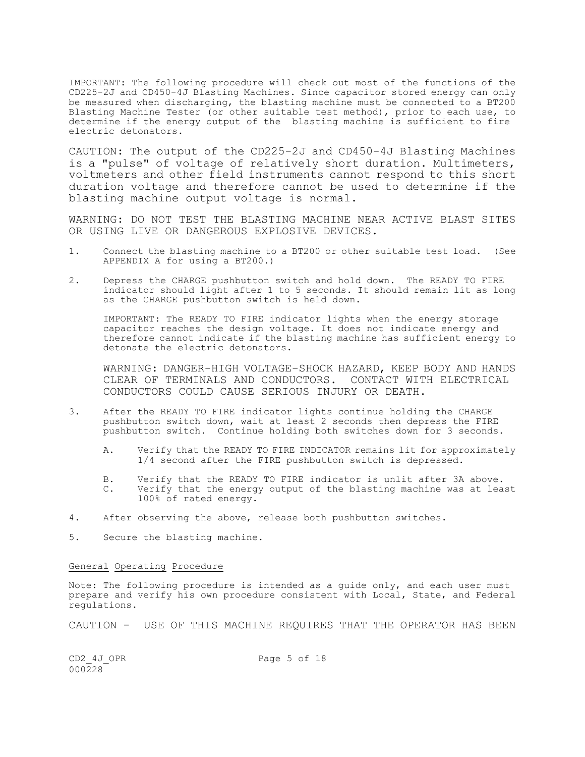IMPORTANT: The following procedure will check out most of the functions of the CD225-2J and CD450-4J Blasting Machines. Since capacitor stored energy can only be measured when discharging, the blasting machine must be connected to a BT200 Blasting Machine Tester (or other suitable test method), prior to each use, to determine if the energy output of the blasting machine is sufficient to fire electric detonators.

CAUTION: The output of the CD225-2J and CD450-4J Blasting Machines is a "pulse" of voltage of relatively short duration. Multimeters, voltmeters and other field instruments cannot respond to this short duration voltage and therefore cannot be used to determine if the blasting machine output voltage is normal.

WARNING: DO NOT TEST THE BLASTING MACHINE NEAR ACTIVE BLAST SITES OR USING LIVE OR DANGEROUS EXPLOSIVE DEVICES.

- 1. Connect the blasting machine to a BT200 or other suitable test load. (See APPENDIX A for using a BT200.)
- 2. Depress the CHARGE pushbutton switch and hold down. The READY TO FIRE indicator should light after 1 to 5 seconds. It should remain lit as long as the CHARGE pushbutton switch is held down.

IMPORTANT: The READY TO FIRE indicator lights when the energy storage capacitor reaches the design voltage. It does not indicate energy and therefore cannot indicate if the blasting machine has sufficient energy to detonate the electric detonators.

WARNING: DANGER-HIGH VOLTAGE-SHOCK HAZARD, KEEP BODY AND HANDS CLEAR OF TERMINALS AND CONDUCTORS. CONTACT WITH ELECTRICAL CONDUCTORS COULD CAUSE SERIOUS INJURY OR DEATH.

- 3. After the READY TO FIRE indicator lights continue holding the CHARGE pushbutton switch down, wait at least 2 seconds then depress the FIRE pushbutton switch. Continue holding both switches down for 3 seconds.
	- A. Verify that the READY TO FIRE INDICATOR remains lit for approximately 1/4 second after the FIRE pushbutton switch is depressed.
	- B. Verify that the READY TO FIRE indicator is unlit after 3A above. C. Verify that the energy output of the blasting machine was at least 100% of rated energy.
- 4. After observing the above, release both pushbutton switches.
- 5. Secure the blasting machine.

#### General Operating Procedure

Note: The following procedure is intended as a guide only, and each user must prepare and verify his own procedure consistent with Local, State, and Federal regulations.

CAUTION - USE OF THIS MACHINE REQUIRES THAT THE OPERATOR HAS BEEN

 $000228$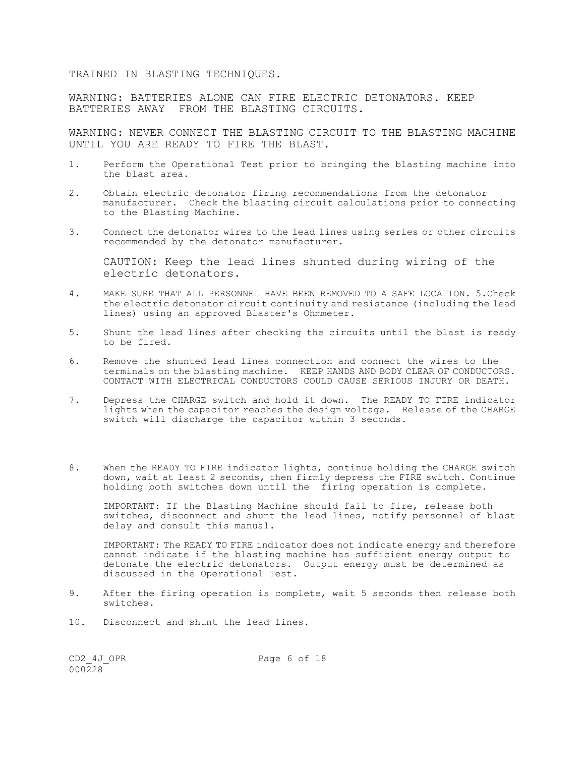TRAINED IN BLASTING TECHNIQUES.

WARNING: BATTERIES ALONE CAN FIRE ELECTRIC DETONATORS. KEEP BATTERIES AWAY FROM THE BLASTING CIRCUITS.

WARNING: NEVER CONNECT THE BLASTING CIRCUIT TO THE BLASTING MACHINE UNTIL YOU ARE READY TO FIRE THE BLAST.

- 1. Perform the Operational Test prior to bringing the blasting machine into the blast area.
- 2. Obtain electric detonator firing recommendations from the detonator manufacturer. Check the blasting circuit calculations prior to connecting to the Blasting Machine.
- 3. Connect the detonator wires to the lead lines using series or other circuits recommended by the detonator manufacturer.

CAUTION: Keep the lead lines shunted during wiring of the electric detonators.

- 4. MAKE SURE THAT ALL PERSONNEL HAVE BEEN REMOVED TO A SAFE LOCATION. 5.Check the electric detonator circuit continuity and resistance (including the lead lines) using an approved Blaster's Ohmmeter.
- 5. Shunt the lead lines after checking the circuits until the blast is ready to be fired.
- 6. Remove the shunted lead lines connection and connect the wires to the terminals on the blasting machine. KEEP HANDS AND BODY CLEAR OF CONDUCTORS. CONTACT WITH ELECTRICAL CONDUCTORS COULD CAUSE SERIOUS INJURY OR DEATH.
- 7. Depress the CHARGE switch and hold it down. The READY TO FIRE indicator lights when the capacitor reaches the design voltage. Release of the CHARGE switch will discharge the capacitor within 3 seconds.
- 8. When the READY TO FIRE indicator lights, continue holding the CHARGE switch down, wait at least 2 seconds, then firmly depress the FIRE switch. Continue holding both switches down until the firing operation is complete.

IMPORTANT: If the Blasting Machine should fail to fire, release both switches, disconnect and shunt the lead lines, notify personnel of blast delay and consult this manual.

IMPORTANT: The READY TO FIRE indicator does not indicate energy and therefore cannot indicate if the blasting machine has sufficient energy output to detonate the electric detonators. Output energy must be determined as discussed in the Operational Test.

- 9. After the firing operation is complete, wait 5 seconds then release both switches.
- 10. Disconnect and shunt the lead lines.

 $000228$ 

CD2 4J OPR Page 6 of 18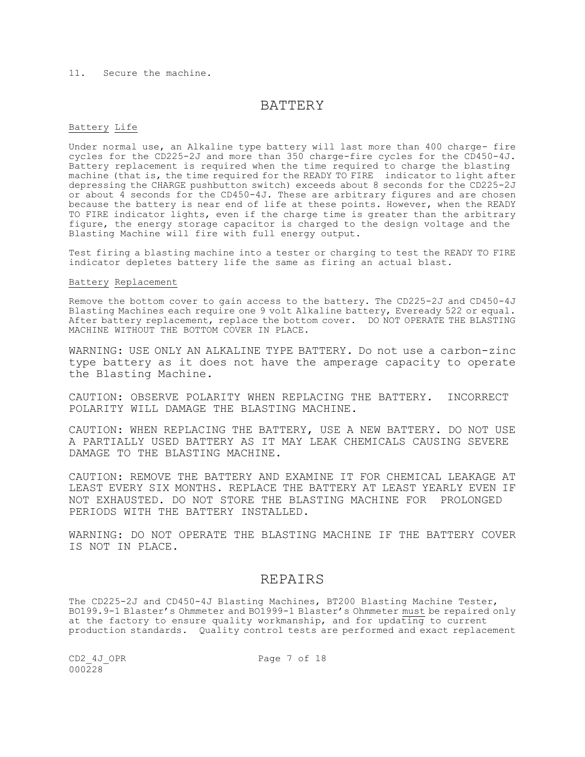#### 11. Secure the machine.

### BATTERY

#### Battery Life

Under normal use, an Alkaline type battery will last more than 400 charge- fire cycles for the CD225-2J and more than 350 charge-fire cycles for the CD450-4J. Battery replacement is required when the time required to charge the blasting machine (that is, the time required for the READY TO FIRE indicator to light after depressing the CHARGE pushbutton switch) exceeds about 8 seconds for the CD225-2J or about 4 seconds for the CD450-4J. These are arbitrary figures and are chosen because the battery is near end of life at these points. However, when the READY TO FIRE indicator lights, even if the charge time is greater than the arbitrary figure, the energy storage capacitor is charged to the design voltage and the Blasting Machine will fire with full energy output.

Test firing a blasting machine into a tester or charging to test the READY TO FIRE indicator depletes battery life the same as firing an actual blast.

#### Battery Replacement

Remove the bottom cover to gain access to the battery. The CD225-2J and CD450-4J Blasting Machines each require one 9 volt Alkaline battery, Eveready 522 or equal. After battery replacement, replace the bottom cover. DO NOT OPERATE THE BLASTING MACHINE WITHOUT THE BOTTOM COVER IN PLACE.

WARNING: USE ONLY AN ALKALINE TYPE BATTERY. Do not use a carbon-zinc type battery as it does not have the amperage capacity to operate the Blasting Machine.

CAUTION: OBSERVE POLARITY WHEN REPLACING THE BATTERY. INCORRECT POLARITY WILL DAMAGE THE BLASTING MACHINE.

CAUTION: WHEN REPLACING THE BATTERY, USE A NEW BATTERY. DO NOT USE A PARTIALLY USED BATTERY AS IT MAY LEAK CHEMICALS CAUSING SEVERE DAMAGE TO THE BLASTING MACHINE.

CAUTION: REMOVE THE BATTERY AND EXAMINE IT FOR CHEMICAL LEAKAGE AT LEAST EVERY SIX MONTHS. REPLACE THE BATTERY AT LEAST YEARLY EVEN IF NOT EXHAUSTED. DO NOT STORE THE BLASTING MACHINE FOR PROLONGED PERIODS WITH THE BATTERY INSTALLED.

WARNING: DO NOT OPERATE THE BLASTING MACHINE IF THE BATTERY COVER IS NOT IN PLACE.

### REPAIRS

The CD225-2J and CD450-4J Blasting Machines, BT200 Blasting Machine Tester, BO199.9-1 Blaster's Ohmmeter and BO1999-1 Blaster's Ohmmeter must be repaired only at the factory to ensure quality workmanship, and for updating to current production standards. Quality control tests are performed and exact replacement

 $000228$ 

CD2 4J OPR Page 7 of 18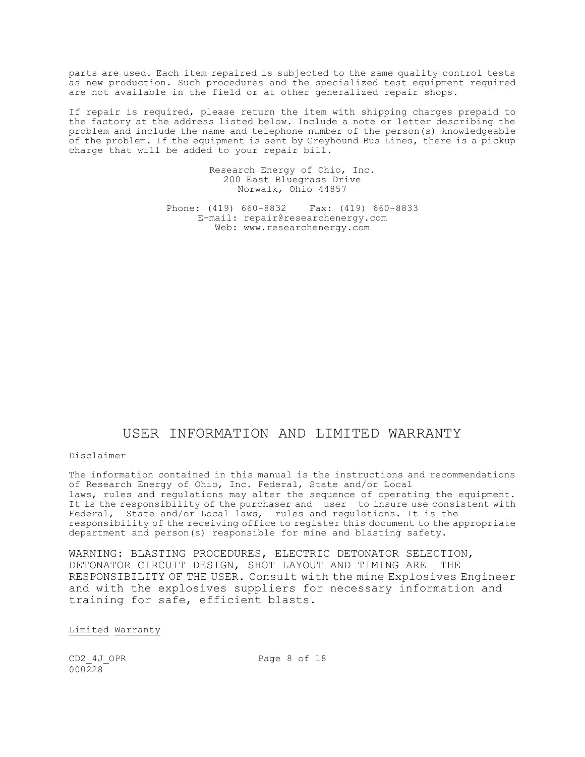parts are used. Each item repaired is subjected to the same quality control tests as new production. Such procedures and the specialized test equipment required are not available in the field or at other generalized repair shops.

If repair is required, please return the item with shipping charges prepaid to the factory at the address listed below. Include a note or letter describing the problem and include the name and telephone number of the person(s) knowledgeable of the problem. If the equipment is sent by Greyhound Bus Lines, there is a pickup charge that will be added to your repair bill.

> Research Energy of Ohio, Inc. 200 East Bluegrass Drive Norwalk, Ohio 44857

Phone: (419) 660-8832 Fax: (419) 660-8833 E-mail: repair@researchenergy.com Web: www.researchenergy.com

## USER INFORMATION AND LIMITED WARRANTY

#### Disclaimer

The information contained in this manual is the instructions and recommendations of Research Energy of Ohio, Inc. Federal, State and/or Local laws, rules and regulations may alter the sequence of operating the equipment. It is the responsibility of the purchaser and user to insure use consistent with Federal, State and/or Local laws, rules and regulations. It is the responsibility of the receiving office to register this document to the appropriate department and person(s) responsible for mine and blasting safety.

WARNING: BLASTING PROCEDURES, ELECTRIC DETONATOR SELECTION, DETONATOR CIRCUIT DESIGN, SHOT LAYOUT AND TIMING ARE THE RESPONSIBILITY OF THE USER. Consult with the mine Explosives Engineer and with the explosives suppliers for necessary information and training for safe, efficient blasts.

#### Limited Warranty

 $000228$ 

CD2 4J OPR Page 8 of 18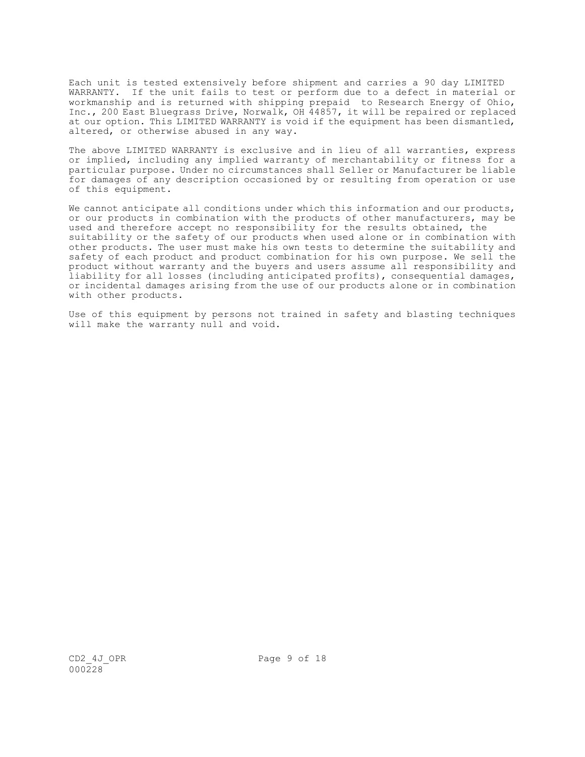Each unit is tested extensively before shipment and carries a 90 day LIMITED WARRANTY. If the unit fails to test or perform due to a defect in material or workmanship and is returned with shipping prepaid to Research Energy of Ohio, Inc., 200 East Bluegrass Drive, Norwalk, OH 44857, it will be repaired or replaced at our option. This LIMITED WARRANTY is void if the equipment has been dismantled, altered, or otherwise abused in any way.

The above LIMITED WARRANTY is exclusive and in lieu of all warranties, express or implied, including any implied warranty of merchantability or fitness for a particular purpose. Under no circumstances shall Seller or Manufacturer be liable for damages of any description occasioned by or resulting from operation or use of this equipment.

We cannot anticipate all conditions under which this information and our products, or our products in combination with the products of other manufacturers, may be used and therefore accept no responsibility for the results obtained, the suitability or the safety of our products when used alone or in combination with other products. The user must make his own tests to determine the suitability and safety of each product and product combination for his own purpose. We sell the product without warranty and the buyers and users assume all responsibility and liability for all losses (including anticipated profits), consequential damages, or incidental damages arising from the use of our products alone or in combination with other products.

Use of this equipment by persons not trained in safety and blasting techniques will make the warranty null and void.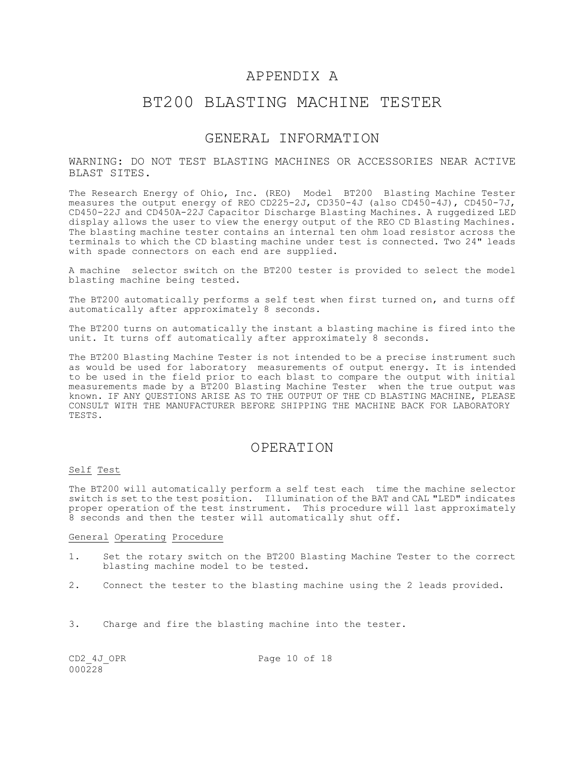## APPENDIX A

## BT200 BLASTING MACHINE TESTER

### GENERAL INFORMATION

WARNING: DO NOT TEST BLASTING MACHINES OR ACCESSORIES NEAR ACTIVE BLAST SITES.

The Research Energy of Ohio, Inc. (REO) Model BT200 Blasting Machine Tester measures the output energy of REO CD225-2J, CD350-4J (also CD450-4J), CD450-7J, CD450-22J and CD450A-22J Capacitor Discharge Blasting Machines. A ruggedized LED display allows the user to view the energy output of the REO CD Blasting Machines. The blasting machine tester contains an internal ten ohm load resistor across the terminals to which the CD blasting machine under test is connected. Two 24" leads with spade connectors on each end are supplied.

A machine selector switch on the BT200 tester is provided to select the model blasting machine being tested.

The BT200 automatically performs a self test when first turned on, and turns off automatically after approximately 8 seconds.

The BT200 turns on automatically the instant a blasting machine is fired into the unit. It turns off automatically after approximately 8 seconds.

The BT200 Blasting Machine Tester is not intended to be a precise instrument such as would be used for laboratory measurements of output energy. It is intended to be used in the field prior to each blast to compare the output with initial measurements made by a BT200 Blasting Machine Tester when the true output was known. IF ANY QUESTIONS ARISE AS TO THE OUTPUT OF THE CD BLASTING MACHINE, PLEASE CONSULT WITH THE MANUFACTURER BEFORE SHIPPING THE MACHINE BACK FOR LABORATORY TESTS.

## OPERATION

#### Self Test

The BT200 will automatically perform a self test each time the machine selector switch is set to the test position. Illumination of the BAT and CAL "LED" indicates proper operation of the test instrument. This procedure will last approximately 8 seconds and then the tester will automatically shut off.

#### General Operating Procedure

- 1. Set the rotary switch on the BT200 Blasting Machine Tester to the correct blasting machine model to be tested.
- 2. Connect the tester to the blasting machine using the 2 leads provided.
- 3. Charge and fire the blasting machine into the tester.

 $000228$ 

CD2 4J OPR Page 10 of 18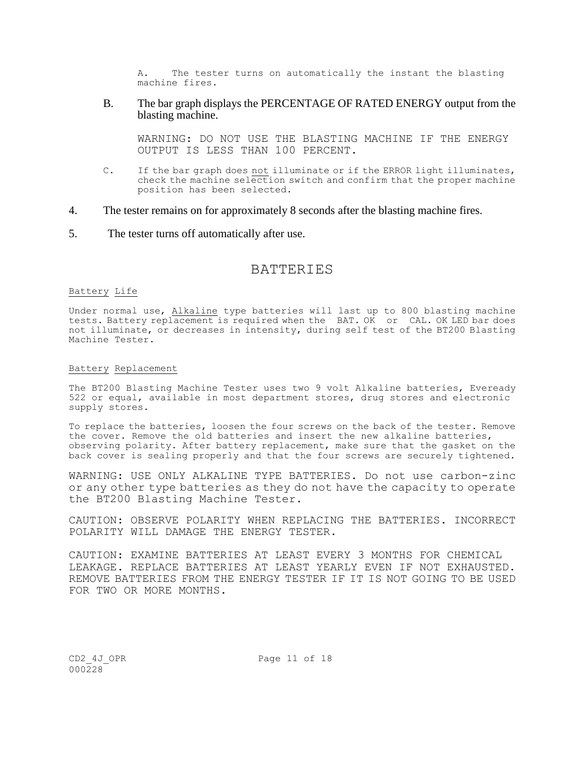A. The tester turns on automatically the instant the blasting machine fires.

B. The bar graph displays the PERCENTAGE OF RATED ENERGY output from the blasting machine.

WARNING: DO NOT USE THE BLASTING MACHINE IF THE ENERGY OUTPUT IS LESS THAN 100 PERCENT.

- C. If the bar graph does not illuminate or if the ERROR light illuminates, check the machine selection switch and confirm that the proper machine position has been selected.
- 4. The tester remains on for approximately 8 seconds after the blasting machine fires.
- 5. The tester turns off automatically after use.

## BATTERIES

#### Battery Life

Under normal use, Alkaline type batteries will last up to 800 blasting machine tests. Battery replacement is required when the BAT. OK or CAL. OK LED bar does not illuminate, or decreases in intensity, during self test of the BT200 Blasting Machine Tester.

#### Battery Replacement

The BT200 Blasting Machine Tester uses two 9 volt Alkaline batteries, Eveready 522 or equal, available in most department stores, drug stores and electronic supply stores.

To replace the batteries, loosen the four screws on the back of the tester. Remove the cover. Remove the old batteries and insert the new alkaline batteries, observing polarity. After battery replacement, make sure that the gasket on the back cover is sealing properly and that the four screws are securely tightened.

WARNING: USE ONLY ALKALINE TYPE BATTERIES. Do not use carbon-zinc or any other type batteries as they do not have the capacity to operate the BT200 Blasting Machine Tester.

CAUTION: OBSERVE POLARITY WHEN REPLACING THE BATTERIES. INCORRECT POLARITY WILL DAMAGE THE ENERGY TESTER.

CAUTION: EXAMINE BATTERIES AT LEAST EVERY 3 MONTHS FOR CHEMICAL LEAKAGE. REPLACE BATTERIES AT LEAST YEARLY EVEN IF NOT EXHAUSTED. REMOVE BATTERIES FROM THE ENERGY TESTER IF IT IS NOT GOING TO BE USED FOR TWO OR MORE MONTHS.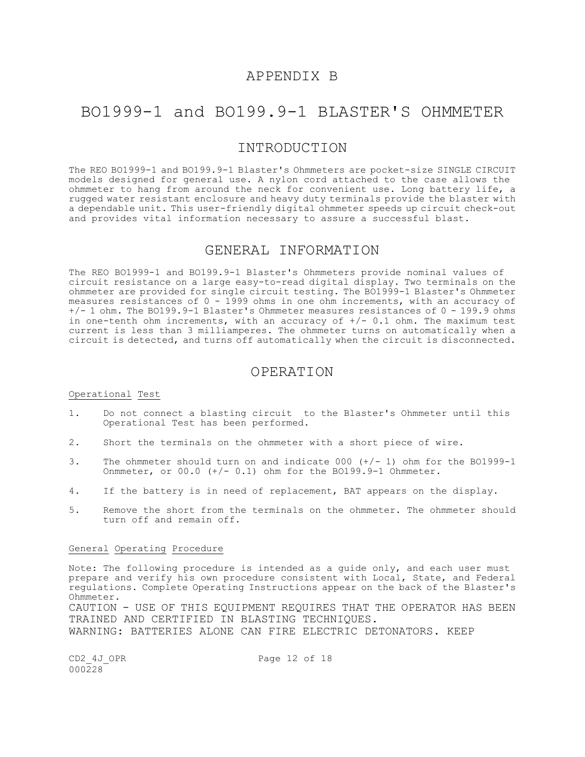## APPENDIX B

## BO1999-1 and BO199.9-1 BLASTER'S OHMMETER

## INTRODUCTION

The REO BO1999-1 and BO199.9-1 Blaster's Ohmmeters are pocket-size SINGLE CIRCUIT models designed for general use. A nylon cord attached to the case allows the ohmmeter to hang from around the neck for convenient use. Long battery life, a rugged water resistant enclosure and heavy duty terminals provide the blaster with a dependable unit. This user-friendly digital ohmmeter speeds up circuit check-out and provides vital information necessary to assure a successful blast.

## GENERAL INFORMATION

The REO BO1999-1 and BO199.9-1 Blaster's Ohmmeters provide nominal values of circuit resistance on a large easy-to-read digital display. Two terminals on the ohmmeter are provided for single circuit testing. The BO1999-1 Blaster's Ohmmeter measures resistances of 0 - 1999 ohms in one ohm increments, with an accuracy of +/- 1 ohm. The BO199.9-1 Blaster's Ohmmeter measures resistances of 0 - 199.9 ohms in one-tenth ohm increments, with an accuracy of  $+/- 0.1$  ohm. The maximum test current is less than 3 milliamperes. The ohmmeter turns on automatically when a circuit is detected, and turns off automatically when the circuit is disconnected.

### OPERATION

#### Operational Test

- 1. Do not connect a blasting circuit to the Blaster's Ohmmeter until this Operational Test has been performed.
- 2. Short the terminals on the ohmmeter with a short piece of wire.
- 3. The ohmmeter should turn on and indicate 000 (+/- 1) ohm for the BO1999-1 Onmmeter, or 00.0 (+/- 0.1) ohm for the BO199.9-1 Ohmmeter.
- 4. If the battery is in need of replacement, BAT appears on the display.
- 5. Remove the short from the terminals on the ohmmeter. The ohmmeter should turn off and remain off.

#### General Operating Procedure

Note: The following procedure is intended as a guide only, and each user must prepare and verify his own procedure consistent with Local, State, and Federal regulations. Complete Operating Instructions appear on the back of the Blaster's Ohmmeter. CAUTION - USE OF THIS EQUIPMENT REQUIRES THAT THE OPERATOR HAS BEEN TRAINED AND CERTIFIED IN BLASTING TECHNIQUES. WARNING: BATTERIES ALONE CAN FIRE ELECTRIC DETONATORS. KEEP

 $000228$ 

CD2 4J OPR Page 12 of 18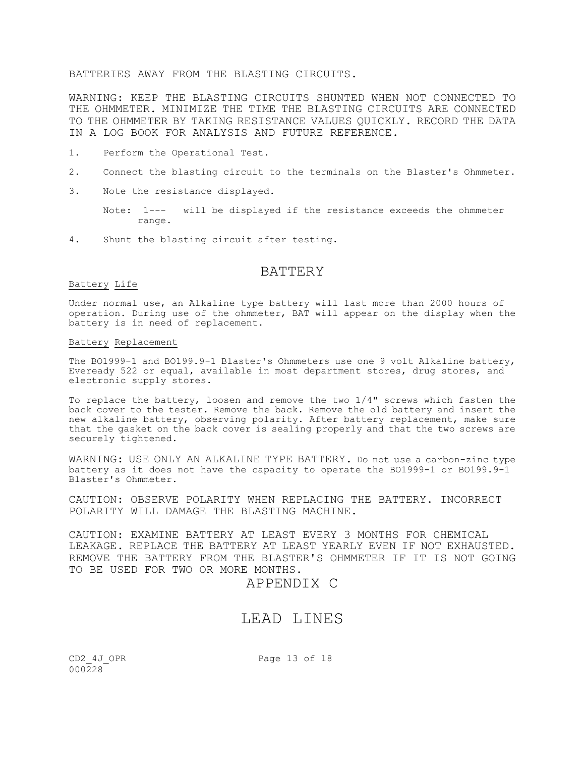BATTERIES AWAY FROM THE BLASTING CIRCUITS.

WARNING: KEEP THE BLASTING CIRCUITS SHUNTED WHEN NOT CONNECTED TO THE OHMMETER. MINIMIZE THE TIME THE BLASTING CIRCUITS ARE CONNECTED TO THE OHMMETER BY TAKING RESISTANCE VALUES QUICKLY. RECORD THE DATA IN A LOG BOOK FOR ANALYSIS AND FUTURE REFERENCE.

- 1. Perform the Operational Test.
- 2. Connect the blasting circuit to the terminals on the Blaster's Ohmmeter.
- 3. Note the resistance displayed.

Note: 1--- will be displayed if the resistance exceeds the ohmmeter range.

4. Shunt the blasting circuit after testing.

### **BATTERY**

#### Battery Life

Under normal use, an Alkaline type battery will last more than 2000 hours of operation. During use of the ohmmeter, BAT will appear on the display when the battery is in need of replacement.

#### Battery Replacement

The BO1999-1 and BO199.9-1 Blaster's Ohmmeters use one 9 volt Alkaline battery, Eveready 522 or equal, available in most department stores, drug stores, and electronic supply stores.

To replace the battery, loosen and remove the two 1/4" screws which fasten the back cover to the tester. Remove the back. Remove the old battery and insert the new alkaline battery, observing polarity. After battery replacement, make sure that the gasket on the back cover is sealing properly and that the two screws are securely tightened.

WARNING: USE ONLY AN ALKALINE TYPE BATTERY. Do not use a carbon-zinc type battery as it does not have the capacity to operate the BO1999-1 or BO199.9-1 Blaster's Ohmmeter.

CAUTION: OBSERVE POLARITY WHEN REPLACING THE BATTERY. INCORRECT POLARITY WILL DAMAGE THE BLASTING MACHINE.

CAUTION: EXAMINE BATTERY AT LEAST EVERY 3 MONTHS FOR CHEMICAL LEAKAGE. REPLACE THE BATTERY AT LEAST YEARLY EVEN IF NOT EXHAUSTED. REMOVE THE BATTERY FROM THE BLASTER'S OHMMETER IF IT IS NOT GOING TO BE USED FOR TWO OR MORE MONTHS.

### APPENDIX C

## LEAD LINES

 $000228$ 

CD2 4J OPR Page 13 of 18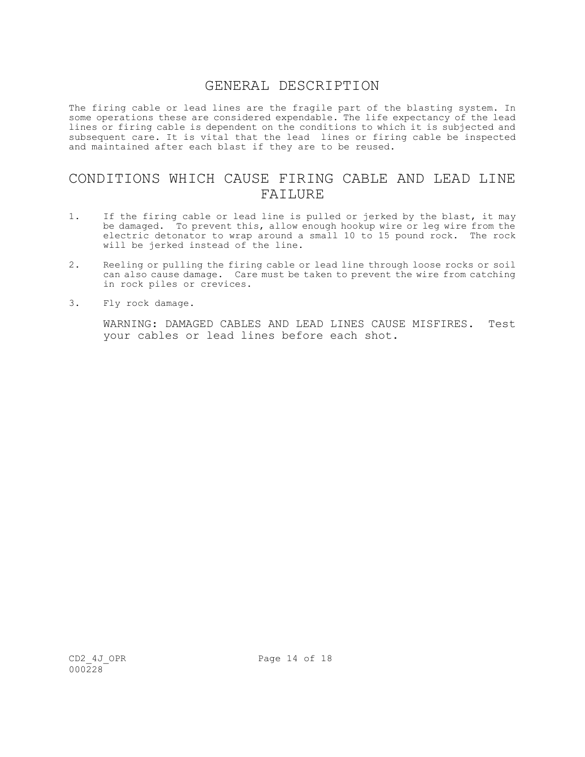## GENERAL DESCRIPTION

The firing cable or lead lines are the fragile part of the blasting system. In some operations these are considered expendable. The life expectancy of the lead lines or firing cable is dependent on the conditions to which it is subjected and subsequent care. It is vital that the lead lines or firing cable be inspected and maintained after each blast if they are to be reused.

## CONDITIONS WHICH CAUSE FIRING CABLE AND LEAD LINE FAILURE

- 1. If the firing cable or lead line is pulled or jerked by the blast, it may be damaged. To prevent this, allow enough hookup wire or leg wire from the electric detonator to wrap around a small 10 to 15 pound rock. The rock will be jerked instead of the line.
- 2. Reeling or pulling the firing cable or lead line through loose rocks or soil can also cause damage. Care must be taken to prevent the wire from catching in rock piles or crevices.
- 3. Fly rock damage.

WARNING: DAMAGED CABLES AND LEAD LINES CAUSE MISFIRES. Test your cables or lead lines before each shot.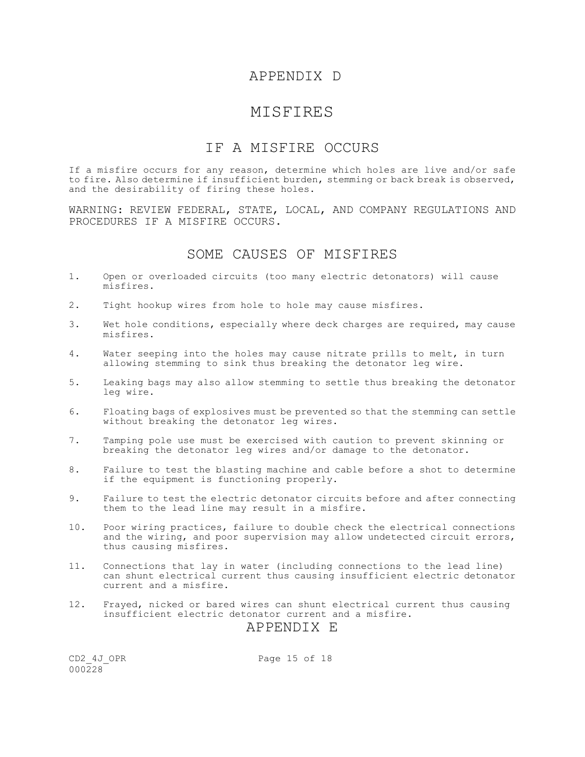## APPENDIX D

## MISFIRES

## IF A MISFIRE OCCURS

If a misfire occurs for any reason, determine which holes are live and/or safe to fire. Also determine if insufficient burden, stemming or back break is observed, and the desirability of firing these holes.

WARNING: REVIEW FEDERAL, STATE, LOCAL, AND COMPANY REGULATIONS AND PROCEDURES IF A MISFIRE OCCURS.

## SOME CAUSES OF MISFIRES

- 1. Open or overloaded circuits (too many electric detonators) will cause misfires.
- 2. Tight hookup wires from hole to hole may cause misfires.
- 3. Wet hole conditions, especially where deck charges are required, may cause misfires.
- 4. Water seeping into the holes may cause nitrate prills to melt, in turn allowing stemming to sink thus breaking the detonator leg wire.
- 5. Leaking bags may also allow stemming to settle thus breaking the detonator leg wire.
- 6. Floating bags of explosives must be prevented so that the stemming can settle without breaking the detonator leg wires.
- 7. Tamping pole use must be exercised with caution to prevent skinning or breaking the detonator leg wires and/or damage to the detonator.
- 8. Failure to test the blasting machine and cable before a shot to determine if the equipment is functioning properly.
- 9. Failure to test the electric detonator circuits before and after connecting them to the lead line may result in a misfire.
- 10. Poor wiring practices, failure to double check the electrical connections and the wiring, and poor supervision may allow undetected circuit errors, thus causing misfires.
- 11. Connections that lay in water (including connections to the lead line) can shunt electrical current thus causing insufficient electric detonator current and a misfire.
- 12. Frayed, nicked or bared wires can shunt electrical current thus causing insufficient electric detonator current and a misfire.

## APPENDIX E

 $000228$ 

CD2 4J OPR Page 15 of 18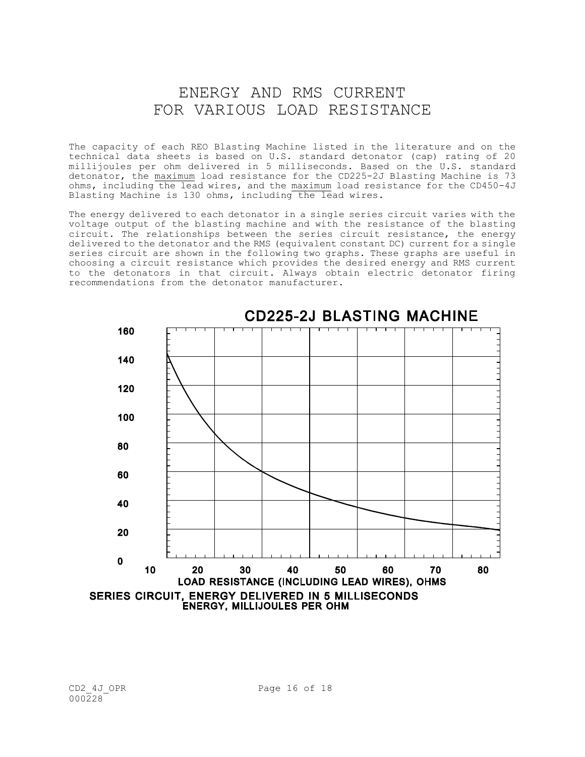# ENERGY AND RMS CURRENT FOR VARIOUS LOAD RESISTANCE

The capacity of each REO Blasting Machine listed in the literature and on the technical data sheets is based on U.S. standard detonator (cap) rating of 20 millijoules per ohm delivered in 5 milliseconds. Based on the U.S. standard detonator, the maximum load resistance for the CD225-2J Blasting Machine is 73 ohms, including the lead wires, and the maximum load resistance for the CD450-4J Blasting Machine is 130 ohms, including the lead wires.

The energy delivered to each detonator in a single series circuit varies with the voltage output of the blasting machine and with the resistance of the blasting circuit. The relationships between the series circuit resistance, the energy delivered to the detonator and the RMS (equivalent constant DC) current for a single series circuit are shown in the following two graphs. These graphs are useful in choosing a circuit resistance which provides the desired energy and RMS current to the detonators in that circuit. Always obtain electric detonator firing recommendations from the detonator manufacturer.



**CD225-2J BLASTING MACHINE**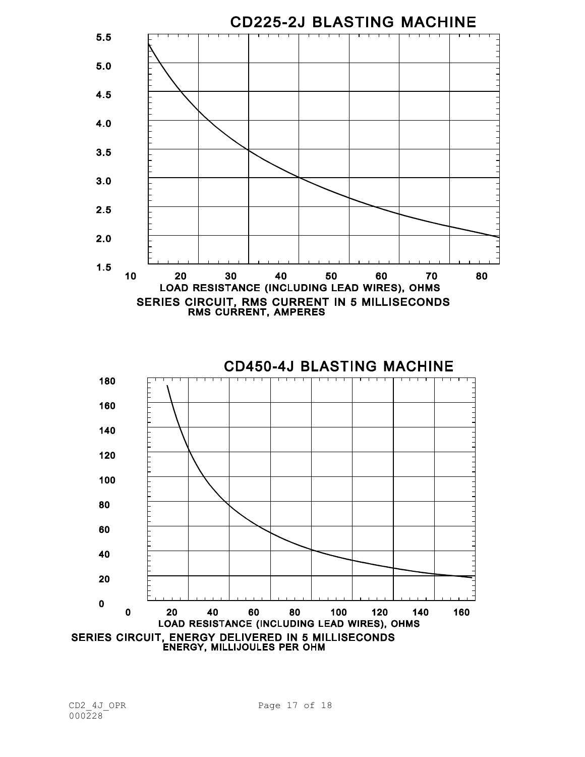